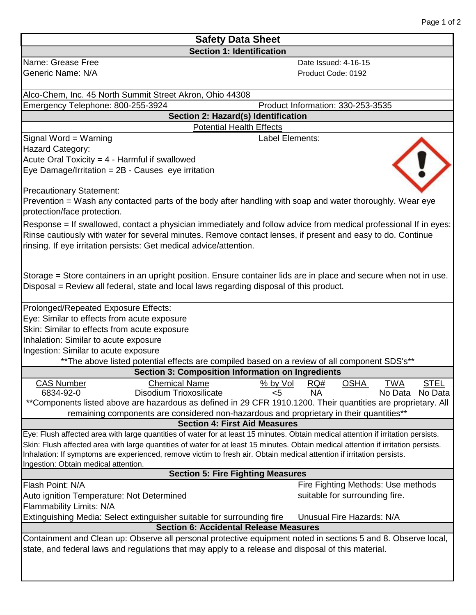| Page 1 of 2 |  |  |
|-------------|--|--|
|             |  |  |

| <b>Safety Data Sheet</b>                                                                                                                                                                                            |                                                            |  |  |  |
|---------------------------------------------------------------------------------------------------------------------------------------------------------------------------------------------------------------------|------------------------------------------------------------|--|--|--|
| <b>Section 1: Identification</b>                                                                                                                                                                                    |                                                            |  |  |  |
| Name: Grease Free                                                                                                                                                                                                   | Date Issued: 4-16-15                                       |  |  |  |
| Generic Name: N/A                                                                                                                                                                                                   | Product Code: 0192                                         |  |  |  |
|                                                                                                                                                                                                                     |                                                            |  |  |  |
| Alco-Chem, Inc. 45 North Summit Street Akron, Ohio 44308                                                                                                                                                            |                                                            |  |  |  |
| Emergency Telephone: 800-255-3924                                                                                                                                                                                   | Product Information: 330-253-3535                          |  |  |  |
| Section 2: Hazard(s) Identification                                                                                                                                                                                 |                                                            |  |  |  |
| <b>Potential Health Effects</b>                                                                                                                                                                                     |                                                            |  |  |  |
| Signal Word = Warning                                                                                                                                                                                               | Label Elements:                                            |  |  |  |
| <b>Hazard Category:</b>                                                                                                                                                                                             |                                                            |  |  |  |
| Acute Oral Toxicity = $4$ - Harmful if swallowed                                                                                                                                                                    |                                                            |  |  |  |
| Eye Damage/Irritation = 2B - Causes eye irritation                                                                                                                                                                  |                                                            |  |  |  |
|                                                                                                                                                                                                                     |                                                            |  |  |  |
| <b>Precautionary Statement:</b><br>Prevention = Wash any contacted parts of the body after handling with soap and water thoroughly. Wear eye                                                                        |                                                            |  |  |  |
| protection/face protection.                                                                                                                                                                                         |                                                            |  |  |  |
|                                                                                                                                                                                                                     |                                                            |  |  |  |
| Response = If swallowed, contact a physician immediately and follow advice from medical professional If in eyes:                                                                                                    |                                                            |  |  |  |
| Rinse cautiously with water for several minutes. Remove contact lenses, if present and easy to do. Continue<br>rinsing. If eye irritation persists: Get medical advice/attention.                                   |                                                            |  |  |  |
|                                                                                                                                                                                                                     |                                                            |  |  |  |
|                                                                                                                                                                                                                     |                                                            |  |  |  |
| Storage = Store containers in an upright position. Ensure container lids are in place and secure when not in use.                                                                                                   |                                                            |  |  |  |
| Disposal = Review all federal, state and local laws regarding disposal of this product.                                                                                                                             |                                                            |  |  |  |
|                                                                                                                                                                                                                     |                                                            |  |  |  |
| Prolonged/Repeated Exposure Effects:                                                                                                                                                                                |                                                            |  |  |  |
| Eye: Similar to effects from acute exposure                                                                                                                                                                         |                                                            |  |  |  |
| Skin: Similar to effects from acute exposure                                                                                                                                                                        |                                                            |  |  |  |
| Inhalation: Similar to acute exposure                                                                                                                                                                               |                                                            |  |  |  |
| Ingestion: Similar to acute exposure                                                                                                                                                                                |                                                            |  |  |  |
| ** The above listed potential effects are compiled based on a review of all component SDS's**                                                                                                                       |                                                            |  |  |  |
| Section 3: Composition Information on Ingredients                                                                                                                                                                   |                                                            |  |  |  |
| <b>CAS Number</b><br><b>Chemical Name</b><br>6834-92-0                                                                                                                                                              | <b>OSHA</b><br>$% by Vol$ RQ#<br><b>TWA</b><br><u>STEL</u> |  |  |  |
| Disodium Trioxosilicate<br>**Components listed above are hazardous as defined in 29 CFR 1910.1200. Their quantities are proprietary. All                                                                            | <b>NA</b><br>No Data<br>No Data<br><5                      |  |  |  |
|                                                                                                                                                                                                                     |                                                            |  |  |  |
| remaining components are considered non-hazardous and proprietary in their quantities**<br><b>Section 4: First Aid Measures</b>                                                                                     |                                                            |  |  |  |
| Eye: Flush affected area with large quantities of water for at least 15 minutes. Obtain medical attention if irritation persists.                                                                                   |                                                            |  |  |  |
| Skin: Flush affected area with large quantities of water for at least 15 minutes. Obtain medical attention if irritation persists.                                                                                  |                                                            |  |  |  |
| Inhalation: If symptoms are experienced, remove victim to fresh air. Obtain medical attention if irritation persists.                                                                                               |                                                            |  |  |  |
| Ingestion: Obtain medical attention.                                                                                                                                                                                |                                                            |  |  |  |
| <b>Section 5: Fire Fighting Measures</b>                                                                                                                                                                            |                                                            |  |  |  |
| Flash Point: N/A                                                                                                                                                                                                    | Fire Fighting Methods: Use methods                         |  |  |  |
| Auto ignition Temperature: Not Determined                                                                                                                                                                           | suitable for surrounding fire.                             |  |  |  |
| Flammability Limits: N/A                                                                                                                                                                                            |                                                            |  |  |  |
| Unusual Fire Hazards: N/A<br>Extinguishing Media: Select extinguisher suitable for surrounding fire                                                                                                                 |                                                            |  |  |  |
| <b>Section 6: Accidental Release Measures</b>                                                                                                                                                                       |                                                            |  |  |  |
| Containment and Clean up: Observe all personal protective equipment noted in sections 5 and 8. Observe local,<br>state, and federal laws and regulations that may apply to a release and disposal of this material. |                                                            |  |  |  |
|                                                                                                                                                                                                                     |                                                            |  |  |  |
|                                                                                                                                                                                                                     |                                                            |  |  |  |
|                                                                                                                                                                                                                     |                                                            |  |  |  |